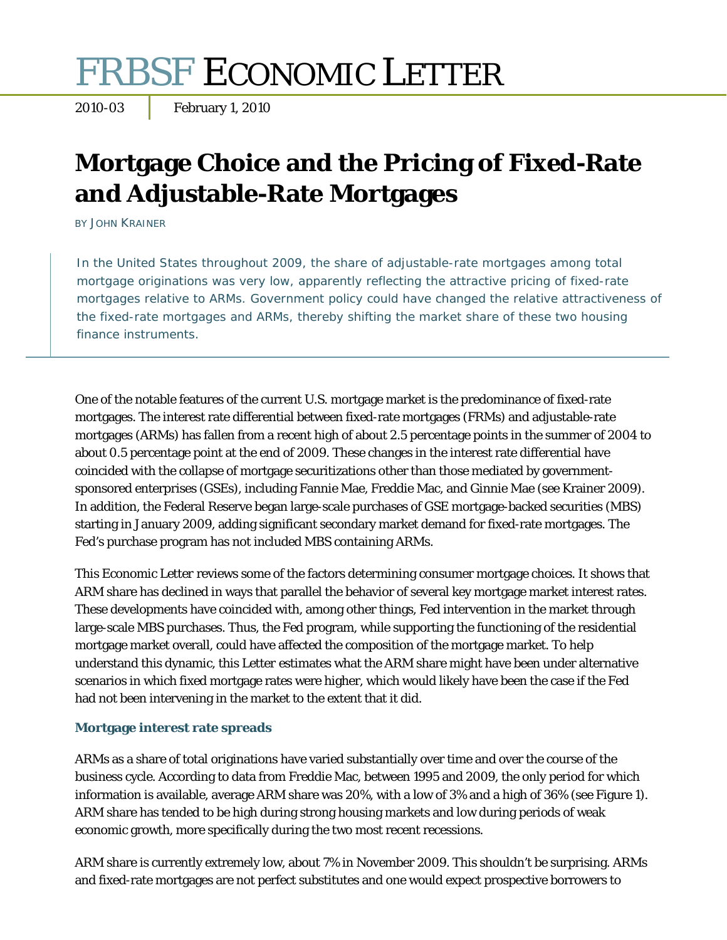# FRBSF ECONOMIC LETTER

2010-03 February 1, 2010

# **Mortgage Choice and the Pricing of Fixed-Rate and Adjustable-Rate Mortgages**

BY JOHN KRAINER

In the United States throughout 2009, the share of adjustable-rate mortgages among total mortgage originations was very low, apparently reflecting the attractive pricing of fixed-rate mortgages relative to ARMs. Government policy could have changed the relative attractiveness of the fixed-rate mortgages and ARMs, thereby shifting the market share of these two housing finance instruments.

One of the notable features of the current U.S. mortgage market is the predominance of fixed-rate mortgages. The interest rate differential between fixed-rate mortgages (FRMs) and adjustable-rate mortgages (ARMs) has fallen from a recent high of about 2.5 percentage points in the summer of 2004 to about 0.5 percentage point at the end of 2009. These changes in the interest rate differential have coincided with the collapse of mortgage securitizations other than those mediated by governmentsponsored enterprises (GSEs), including Fannie Mae, Freddie Mac, and Ginnie Mae (see Krainer 2009). In addition, the Federal Reserve began large-scale purchases of GSE mortgage-backed securities (MBS) starting in January 2009, adding significant secondary market demand for fixed-rate mortgages. The Fed's purchase program has not included MBS containing ARMs.

This *Economic Letter* reviews some of the factors determining consumer mortgage choices. It shows that ARM share has declined in ways that parallel the behavior of several key mortgage market interest rates. These developments have coincided with, among other things, Fed intervention in the market through large-scale MBS purchases. Thus, the Fed program, while supporting the functioning of the residential mortgage market overall, could have affected the composition of the mortgage market. To help understand this dynamic, this *Letter* estimates what the ARM share might have been under alternative scenarios in which fixed mortgage rates were higher, which would likely have been the case if the Fed had not been intervening in the market to the extent that it did.

# **Mortgage interest rate spreads**

ARMs as a share of total originations have varied substantially over time and over the course of the business cycle. According to data from Freddie Mac, between 1995 and 2009, the only period for which information is available, average ARM share was 20%, with a low of 3% and a high of 36% (see Figure 1). ARM share has tended to be high during strong housing markets and low during periods of weak economic growth, more specifically during the two most recent recessions.

ARM share is currently extremely low, about 7% in November 2009. This shouldn't be surprising. ARMs and fixed-rate mortgages are not perfect substitutes and one would expect prospective borrowers to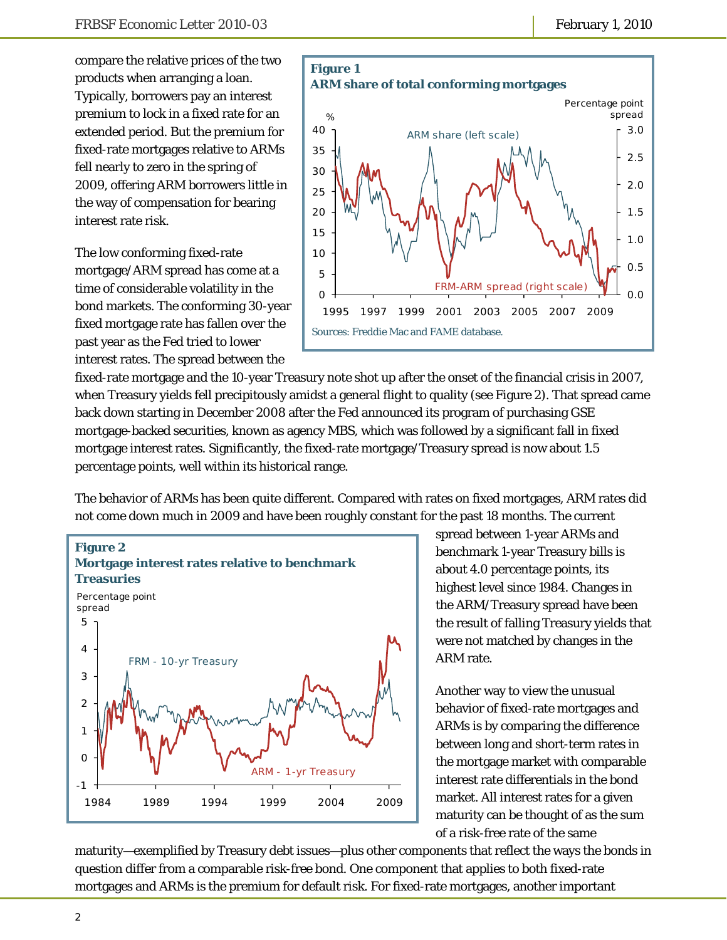compare the relative prices of the two products when arranging a loan. Typically, borrowers pay an interest premium to lock in a fixed rate for an extended period. But the premium for fixed-rate mortgages relative to ARMs fell nearly to zero in the spring of 2009, offering ARM borrowers little in the way of compensation for bearing interest rate risk.

The low conforming fixed-rate mortgage/ARM spread has come at a time of considerable volatility in the bond markets. The conforming 30-year fixed mortgage rate has fallen over the past year as the Fed tried to lower interest rates. The spread between the



fixed-rate mortgage and the 10-year Treasury note shot up after the onset of the financial crisis in 2007, when Treasury yields fell precipitously amidst a general flight to quality (see Figure 2). That spread came back down starting in December 2008 after the Fed announced its program of purchasing GSE mortgage-backed securities, known as agency MBS, which was followed by a significant fall in fixed mortgage interest rates. Significantly, the fixed-rate mortgage/Treasury spread is now about 1.5 percentage points, well within its historical range.

The behavior of ARMs has been quite different. Compared with rates on fixed mortgages, ARM rates did not come down much in 2009 and have been roughly constant for the past 18 months. The current



spread between 1-year ARMs and benchmark 1-year Treasury bills is about 4.0 percentage points, its highest level since 1984. Changes in the ARM/Treasury spread have been the result of falling Treasury yields that were not matched by changes in the ARM rate.

Another way to view the unusual behavior of fixed-rate mortgages and ARMs is by comparing the difference between long and short-term rates in the mortgage market with comparable interest rate differentials in the bond market. All interest rates for a given maturity can be thought of as the sum of a risk-free rate of the same

maturity—exemplified by Treasury debt issues—plus other components that reflect the ways the bonds in question differ from a comparable risk-free bond. One component that applies to both fixed-rate mortgages and ARMs is the premium for default risk. For fixed-rate mortgages, another important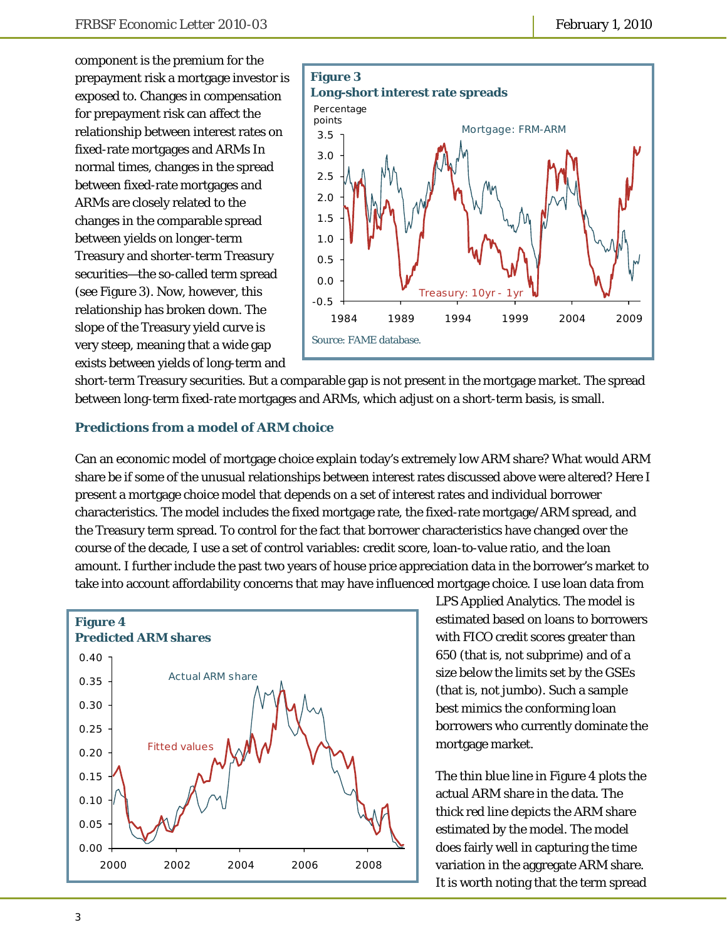component is the premium for the prepayment risk a mortgage investor is exposed to. Changes in compensation for prepayment risk can affect the relationship between interest rates on fixed-rate mortgages and ARMs In normal times, changes in the spread between fixed-rate mortgages and ARMs are closely related to the changes in the comparable spread between yields on longer-term Treasury and shorter-term Treasury securities—the so-called term spread (see Figure 3). Now, however, this relationship has broken down. The slope of the Treasury yield curve is very steep, meaning that a wide gap exists between yields of long-term and



short-term Treasury securities. But a comparable gap is not present in the mortgage market. The spread between long-term fixed-rate mortgages and ARMs, which adjust on a short-term basis, is small.

### **Predictions from a model of ARM choice**

Can an economic model of mortgage choice explain today's extremely low ARM share? What would ARM share be if some of the unusual relationships between interest rates discussed above were altered? Here I present a mortgage choice model that depends on a set of interest rates and individual borrower characteristics. The model includes the fixed mortgage rate, the fixed-rate mortgage/ARM spread, and the Treasury term spread. To control for the fact that borrower characteristics have changed over the course of the decade, I use a set of control variables: credit score, loan-to-value ratio, and the loan amount. I further include the past two years of house price appreciation data in the borrower's market to take into account affordability concerns that may have influenced mortgage choice. I use loan data from



LPS Applied Analytics. The model is estimated based on loans to borrowers with FICO credit scores greater than 650 (that is, not subprime) and of a size below the limits set by the GSEs (that is, not jumbo). Such a sample best mimics the conforming loan borrowers who currently dominate the mortgage market.

The thin blue line in Figure 4 plots the actual ARM share in the data. The thick red line depicts the ARM share estimated by the model. The model does fairly well in capturing the time variation in the aggregate ARM share. It is worth noting that the term spread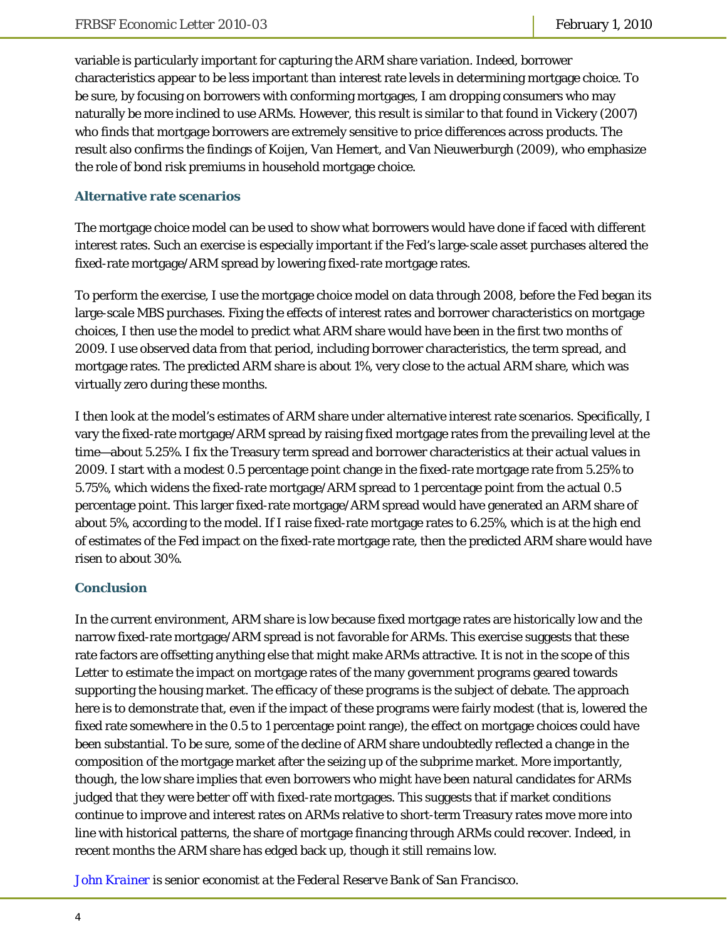variable is particularly important for capturing the ARM share variation. Indeed, borrower characteristics appear to be less important than interest rate levels in determining mortgage choice. To be sure, by focusing on borrowers with conforming mortgages, I am dropping consumers who may naturally be more inclined to use ARMs. However, this result is similar to that found in Vickery (2007) who finds that mortgage borrowers are extremely sensitive to price differences across products. The result also confirms the findings of Koijen, Van Hemert, and Van Nieuwerburgh (2009), who emphasize the role of bond risk premiums in household mortgage choice.

# **Alternative rate scenarios**

The mortgage choice model can be used to show what borrowers would have done if faced with different interest rates. Such an exercise is especially important if the Fed's large-scale asset purchases altered the fixed-rate mortgage/ARM spread by lowering fixed-rate mortgage rates.

To perform the exercise, I use the mortgage choice model on data through 2008, before the Fed began its large-scale MBS purchases. Fixing the effects of interest rates and borrower characteristics on mortgage choices, I then use the model to predict what ARM share would have been in the first two months of 2009. I use observed data from that period, including borrower characteristics, the term spread, and mortgage rates. The predicted ARM share is about 1%, very close to the actual ARM share, which was virtually zero during these months.

I then look at the model's estimates of ARM share under alternative interest rate scenarios. Specifically, I vary the fixed-rate mortgage/ARM spread by raising fixed mortgage rates from the prevailing level at the time—about 5.25%. I fix the Treasury term spread and borrower characteristics at their actual values in 2009. I start with a modest 0.5 percentage point change in the fixed-rate mortgage rate from 5.25% to 5.75%, which widens the fixed-rate mortgage/ARM spread to 1 percentage point from the actual 0.5 percentage point. This larger fixed-rate mortgage/ARM spread would have generated an ARM share of about 5%, according to the model. If I raise fixed-rate mortgage rates to 6.25%, which is at the high end of estimates of the Fed impact on the fixed-rate mortgage rate, then the predicted ARM share would have risen to about 30%.

# **Conclusion**

In the current environment, ARM share is low because fixed mortgage rates are historically low and the narrow fixed-rate mortgage/ARM spread is not favorable for ARMs. This exercise suggests that these rate factors are offsetting anything else that might make ARMs attractive. It is not in the scope of this *Letter* to estimate the impact on mortgage rates of the many government programs geared towards supporting the housing market. The efficacy of these programs is the subject of debate. The approach here is to demonstrate that, even if the impact of these programs were fairly modest (that is, lowered the fixed rate somewhere in the 0.5 to 1 percentage point range), the effect on mortgage choices could have been substantial. To be sure, some of the decline of ARM share undoubtedly reflected a change in the composition of the mortgage market after the seizing up of the subprime market. More importantly, though, the low share implies that even borrowers who might have been natural candidates for ARMs judged that they were better off with fixed-rate mortgages. This suggests that if market conditions continue to improve and interest rates on ARMs relative to short-term Treasury rates move more into line with historical patterns, the share of mortgage financing through ARMs could recover. Indeed, in recent months the ARM share has edged back up, though it still remains low.

*[John Krainer i](http://www.frbsf.org/economics/economists/staff.php?jkrainer)s senior economist at the Federal Reserve Bank of San Francisco.*